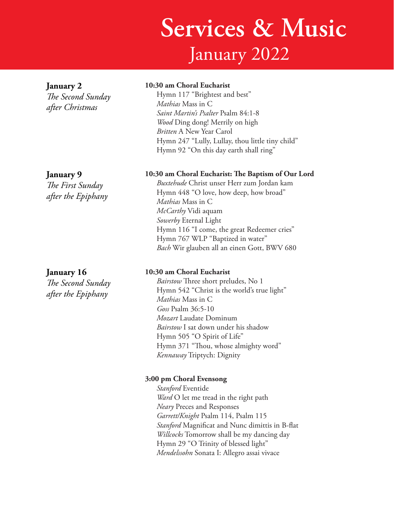# **Services & Music** January 2022

### **January 2**

*The Second Sunday after Christmas*

#### **10:30 am Choral Eucharist**

Hymn 117 "Brightest and best" *Mathias* Mass in C *Saint Martin's Psalter* Psalm 84:1-8 *Wood* Ding dong! Merrily on high *Britten* A New Year Carol Hymn 247 "Lully, Lullay, thou little tiny child" Hymn 92 "On this day earth shall ring"

#### **January 9**

*The First Sunday after the Epiphany*

# **January 16**

*The Second Sunday after the Epiphany*

#### **10:30 am Choral Eucharist: The Baptism of Our Lord**

*Buxtehude* Christ unser Herr zum Jordan kam Hymn 448 "O love, how deep, how broad" *Mathias* Mass in C *McCarthy* Vidi aquam *Sowerby* Eternal Light Hymn 116 "I come, the great Redeemer cries" Hymn 767 WLP "Baptized in water" *Bach* Wir glauben all an einen Gott, BWV 680

#### **10:30 am Choral Eucharist**

*Bairstow* Three short preludes, No 1 Hymn 542 "Christ is the world's true light" *Mathias* Mass in C *Goss* Psalm 36:5-10 *Mozart* Laudate Dominum *Bairstow* I sat down under his shadow Hymn 505 "O Spirit of Life" Hymn 371 "Thou, whose almighty word" *Kennaway* Triptych: Dignity

#### **3:00 pm Choral Evensong**

*Stanford* Eventide *Ward* O let me tread in the right path *Neary* Preces and Responses *Garrett/Knight* Psalm 114, Psalm 115 *Stanford* Magnificat and Nunc dimittis in B-flat *Willcocks* Tomorrow shall be my dancing day Hymn 29 "O Trinity of blessed light" *Mendelssohn* Sonata I: Allegro assai vivace